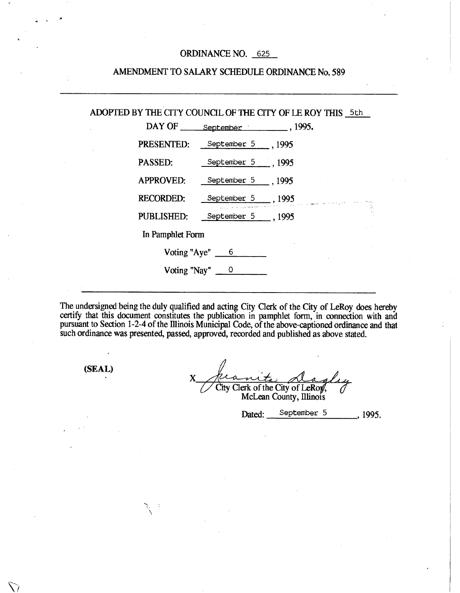# ORDINANCE NO. 625

| ADOPTED BY THE CITY COUNCIL OF THE CITY OF LE ROY THIS 5th |                              |  |  |
|------------------------------------------------------------|------------------------------|--|--|
|                                                            | DAY OF September 1995.       |  |  |
|                                                            | PRESENTED: September 5 1995  |  |  |
|                                                            | PASSED: September 5 1995     |  |  |
|                                                            | APPROVED: September 5 1995   |  |  |
|                                                            | RECORDED: September 5, 1995  |  |  |
|                                                            | PUBLISHED: September 5, 1995 |  |  |
| In Pamphlet Form                                           |                              |  |  |
| Voting "Aye" 6                                             |                              |  |  |
| Voting "Nay" $\qquad 0$                                    |                              |  |  |
|                                                            |                              |  |  |

The undersigned being the duly qualified and acting City Clerk of the City of LeRoy does hereby certify that this document constitutes the publication in pamphlet form, in connection with and pursuant to Section 1-2-4 of the Illinois Municipal Code, of the above-captioned ordinance and tha such ordinance was presented, passed, approved, recorded and published as above stated.

**(SEAL)** 

 $\sum_{i=1}^n$ 

}

X City Clerk of the City of LeRoy, McLean County, Illinois

Dated: September 5 , 1995.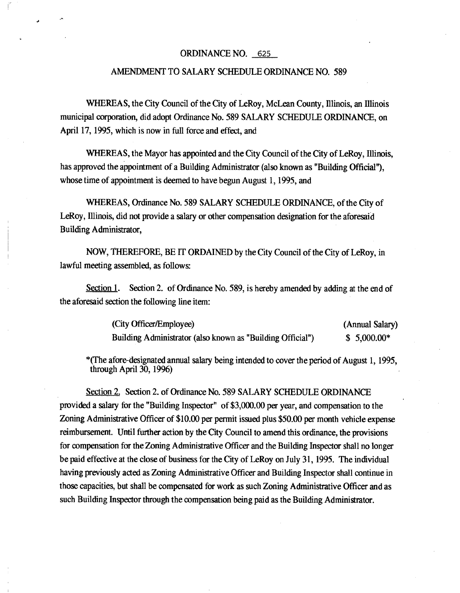#### ORDINANCE NO. 625

## AMENDMENT TO SALARY SCHEDULE ORDINANCE NO. 589

WHEREAS, the City Council of the City of LeRoy, Mclean County, Illinois, an Illinois municipal corporation, did adopt Ordinance No. 589 SALARY SCHEDULE ORDINANCE, on April 17, 1995, which is now in full force and effect, and

WHEREAS, the Mayor has appointed and the City Council of the City of LeRoy, Illinois, has approved the appointment of a Building Administrator (also known as "Building Official"), whose time of appointment is deemed to have begun August 1, 1995, and

WHEREAS, Ordinance No. 589 SALARY SCHEDULE ORDINANCE, of the City of LeRoy, Illinois, did not provide a salary or other compensation designation for the aforesaid Building Administrator,

NOW, THEREFORE, BE IT ORDAINED by the City Council of the City of LeRoy, in lawful meeting assembled, as follows:

Section 1. Section 2. of Ordinance No. 589, is hereby amended by adding at the end of the aforesaid section the following line item:

| (City Officer/Employee)                                    | (Annual Salary) |
|------------------------------------------------------------|-----------------|
| Building Administrator (also known as "Building Official") | $$5,000.00*$    |

\*(The afore-designated annual salary being intended to cover the period of August 1, 1995, through April 30, 1996)

Section 2. Section 2. of Ordinance No. 589 SALARY SCHEDULE ORDINANCE provided a salary for the "Building Inspector" of \$3,000.00 per year, and compensation to the Zoning Administrative Officer of \$10.00 per permit issued plus \$50.00 per month vehicle expense reimbursement. Until further action by the City Council to amend this ordinance, the provisions for compensation for the Zoning Administrative Officer and the Building Inspector shall no longer be paid effective at the close of business for the City of LeRoy on July 31, 1995. The individual having previously acted as Zoning Administrative Officer and Building Inspector shall continue in those capacities, but shall be compensated for work as such Zoning Administrative Officer and as such Building Inspector through the compensation being paid as the Building Administrator.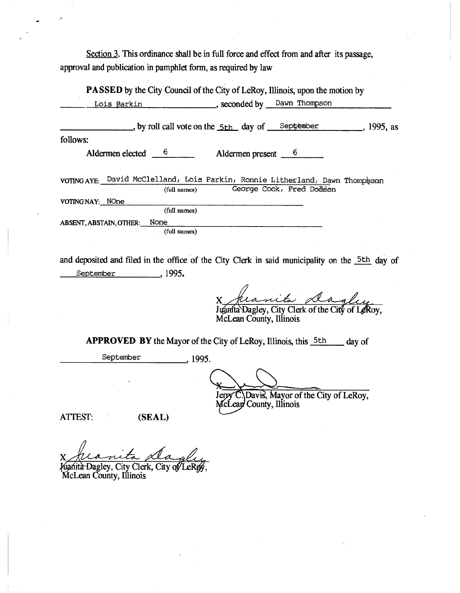Section 3. This ordinance shall be in full force and effect from and after its passage, approval and publication in pamphlet form, as required by law

|                      | ____, seconded by ___ Dawn Thompson                                                            |                                                                                                                                                                                                                                                                                                              |
|----------------------|------------------------------------------------------------------------------------------------|--------------------------------------------------------------------------------------------------------------------------------------------------------------------------------------------------------------------------------------------------------------------------------------------------------------|
|                      |                                                                                                |                                                                                                                                                                                                                                                                                                              |
|                      |                                                                                                |                                                                                                                                                                                                                                                                                                              |
|                      | Aldermen present 6                                                                             |                                                                                                                                                                                                                                                                                                              |
| (full names)         | George Cook, Fred Dodson                                                                       |                                                                                                                                                                                                                                                                                                              |
|                      |                                                                                                |                                                                                                                                                                                                                                                                                                              |
| (full names)         |                                                                                                |                                                                                                                                                                                                                                                                                                              |
| None<br>(full names) |                                                                                                |                                                                                                                                                                                                                                                                                                              |
|                      | <u>Lois Barkin</u><br>Aldermen elected 6<br>VOTING NAY: NOne<br><b>ABSENT, ABSTAIN, OTHER:</b> | <b>PASSED</b> by the City Council of the City of LeRoy, Illinois, upon the motion by<br>$\rightarrow$ , by roll call vote on the $\frac{5 \text{th}}{2 \text{th}}$ day of $\frac{2000 \text{cm}}{2000 \text{cm}}$ , 1995, as<br>VOTING AYE: David McClelland, Lois Parkin, Ronnie Litherland, Dawn Thompsonn |

and deposited and filed in the office of the City Clerk in said municipality on the 5th day of September 1995.

 $\mathbf{X}_{\! \perp}$ 

Juanita Dagley, City Clerk of the City of LeRoy, McLean County, Illinois

APPROVED BY the Mayor of the City of LeRoy, Illinois, this  $5th$  day of

September 1995.

Erry C.

Davis, Mayor of the City of LeRoy, County, Illinois

ATTEST: (SEAL)

X Kranita Aagley, City Clerk, City of LeRey,

McLean County, Illinois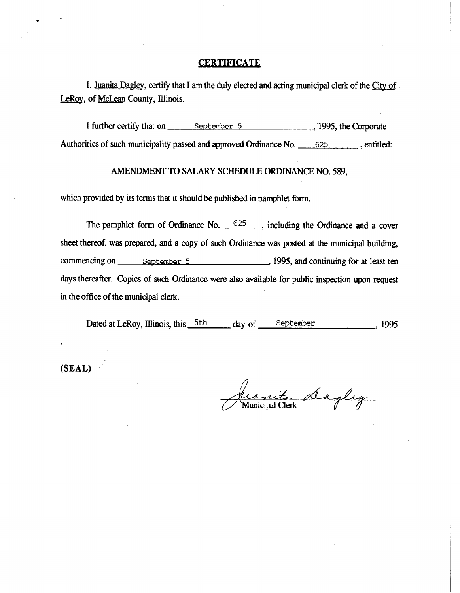#### **CERTIFICATE**

I, Juanita Dagley, certify that I am the duly elected and acting municipal clerk of the City of LeRoy, of McLean County, Illinois.

I further certify that on September 5 , 1995, the Corporate Authorities of such municipality passed and approved Ordinance No. 625 , entitled:

# AMENDMENT TO SALARY SCHEDULE ORDINANCE NO. 589,

which provided by its terms that it should be published in pamphlet form.

The pamphlet form of Ordinance No.  $625$ , including the Ordinance and a cover sheet thereof, was prepared, and a copy of such Ordinance was posted at the municipal building, commencing on September 5 , 1995, and continuing for at least ten days thereafter. Copies of such Ordinance were also available for public inspection upon request in the office of the municipal clerk.

Dated at LeRoy, Illinois, this 5th day of September , 1995

**(SEAL)** 

anite dagley